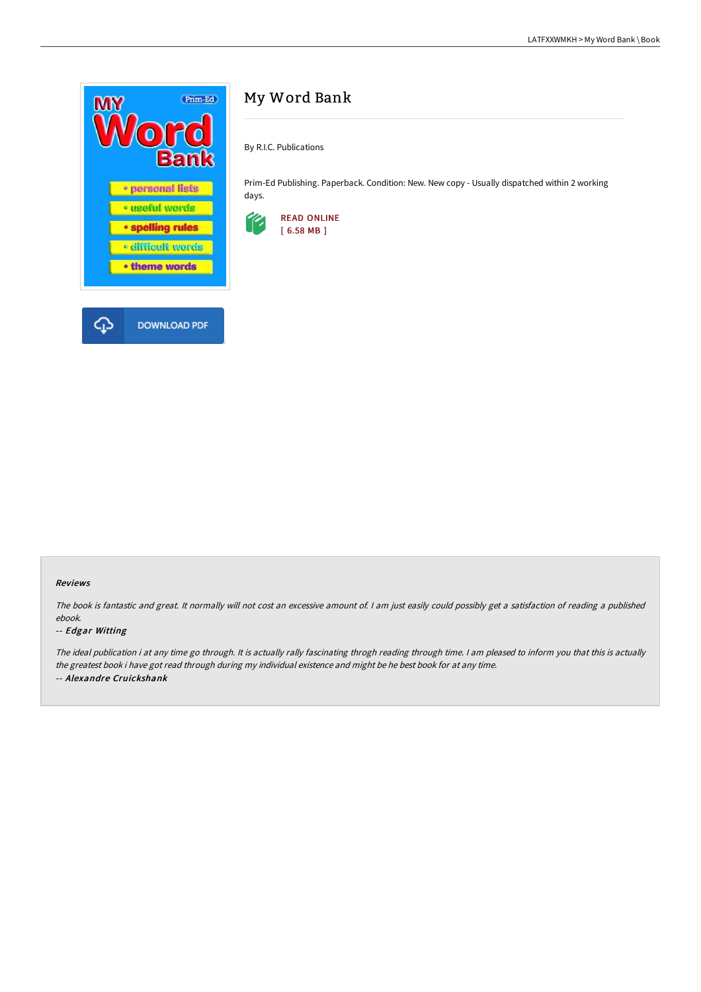

# My Word Bank

By R.I.C. Publications

Prim-Ed Publishing. Paperback. Condition: New. New copy - Usually dispatched within 2 working days.



### Reviews

The book is fantastic and great. It normally will not cost an excessive amount of. I am just easily could possibly get a satisfaction of reading a published ebook.

#### -- Edgar Witting

The ideal publication i at any time go through. It is actually rally fascinating throgh reading through time. I am pleased to inform you that this is actually the greatest book i have got read through during my individual existence and might be he best book for at any time. -- Alexandre Cruickshank